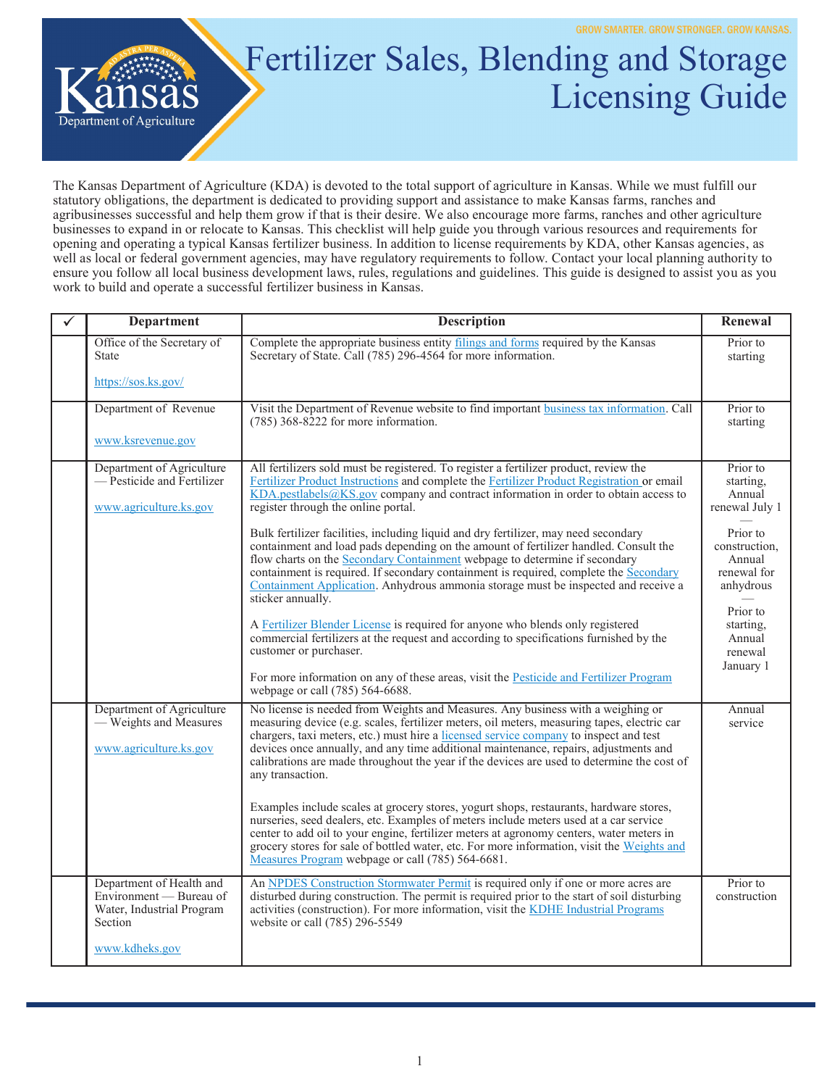

## Fertilizer Sales, Blending and Storage Licensing Guide

The Kansas Department of Agriculture (KDA) is devoted to the total support of agriculture in Kansas. While we must fulfill our statutory obligations, the department is dedicated to providing support and assistance to make Kansas farms, ranches and agribusinesses successful and help them grow if that is their desire. We also encourage more farms, ranches and other agriculture businesses to expand in or relocate to Kansas. This checklist will help guide you through various resources and requirements for opening and operating a typical Kansas fertilizer business. In addition to license requirements by KDA, other Kansas agencies, as well as local or federal government agencies, may have regulatory requirements to follow. Contact your local planning authority to ensure you follow all local business development laws, rules, regulations and guidelines. This guide is designed to assist you as you work to build and operate a successful fertilizer business in Kansas.

| $\checkmark$ | <b>Department</b>                                                                                             | <b>Description</b>                                                                                                                                                                                                                                                                                                                                                                                                                                                                                                                                                                                                                                                                                                                                                                   | Renewal                                                                                                                          |
|--------------|---------------------------------------------------------------------------------------------------------------|--------------------------------------------------------------------------------------------------------------------------------------------------------------------------------------------------------------------------------------------------------------------------------------------------------------------------------------------------------------------------------------------------------------------------------------------------------------------------------------------------------------------------------------------------------------------------------------------------------------------------------------------------------------------------------------------------------------------------------------------------------------------------------------|----------------------------------------------------------------------------------------------------------------------------------|
|              | Office of the Secretary of<br>State                                                                           | Complete the appropriate business entity filings and forms required by the Kansas<br>Secretary of State. Call (785) 296-4564 for more information.                                                                                                                                                                                                                                                                                                                                                                                                                                                                                                                                                                                                                                   | Prior to<br>starting                                                                                                             |
|              | https://sos.ks.gov/                                                                                           |                                                                                                                                                                                                                                                                                                                                                                                                                                                                                                                                                                                                                                                                                                                                                                                      |                                                                                                                                  |
|              | Department of Revenue                                                                                         | Visit the Department of Revenue website to find important business tax information. Call<br>$(785)$ 368-8222 for more information.                                                                                                                                                                                                                                                                                                                                                                                                                                                                                                                                                                                                                                                   | Prior to<br>starting                                                                                                             |
|              | www.ksrevenue.gov                                                                                             |                                                                                                                                                                                                                                                                                                                                                                                                                                                                                                                                                                                                                                                                                                                                                                                      |                                                                                                                                  |
|              | Department of Agriculture<br>- Pesticide and Fertilizer<br>www.agriculture.ks.gov                             | All fertilizers sold must be registered. To register a fertilizer product, review the<br>Fertilizer Product Instructions and complete the Fertilizer Product Registration or email<br>$KDA$ .pestlabels@KS.gov company and contract information in order to obtain access to<br>register through the online portal.<br>Bulk fertilizer facilities, including liquid and dry fertilizer, may need secondary<br>containment and load pads depending on the amount of fertilizer handled. Consult the<br>flow charts on the Secondary Containment webpage to determine if secondary<br>containment is required. If secondary containment is required, complete the Secondary<br>Containment Application. Anhydrous ammonia storage must be inspected and receive a<br>sticker annually. | Prior to<br>starting.<br>Annual<br>renewal July 1<br>Prior to<br>construction.<br>Annual<br>renewal for<br>anhydrous<br>Prior to |
|              |                                                                                                               | A Fertilizer Blender License is required for anyone who blends only registered<br>commercial fertilizers at the request and according to specifications furnished by the<br>customer or purchaser.<br>For more information on any of these areas, visit the Pesticide and Fertilizer Program<br>webpage or call (785) 564-6688.                                                                                                                                                                                                                                                                                                                                                                                                                                                      | starting,<br>Annual<br>renewal<br>January 1                                                                                      |
|              | Department of Agriculture<br>- Weights and Measures<br>www.agriculture.ks.gov                                 | No license is needed from Weights and Measures. Any business with a weighing or<br>measuring device (e.g. scales, fertilizer meters, oil meters, measuring tapes, electric car<br>chargers, taxi meters, etc.) must hire a licensed service company to inspect and test<br>devices once annually, and any time additional maintenance, repairs, adjustments and<br>calibrations are made throughout the year if the devices are used to determine the cost of<br>any transaction.<br>Examples include scales at grocery stores, yogurt shops, restaurants, hardware stores,<br>nurseries, seed dealers, etc. Examples of meters include meters used at a car service<br>center to add oil to your engine, fertilizer meters at agronomy centers, water meters in                     | Annual<br>service                                                                                                                |
|              |                                                                                                               | grocery stores for sale of bottled water, etc. For more information, visit the Weights and<br>Measures Program webpage or call (785) 564-6681.                                                                                                                                                                                                                                                                                                                                                                                                                                                                                                                                                                                                                                       |                                                                                                                                  |
|              | Department of Health and<br>Environment - Bureau of<br>Water, Industrial Program<br>Section<br>www.kdheks.gov | An NPDES Construction Stormwater Permit is required only if one or more acres are<br>disturbed during construction. The permit is required prior to the start of soil disturbing<br>activities (construction). For more information, visit the KDHE Industrial Programs<br>website or call (785) 296-5549                                                                                                                                                                                                                                                                                                                                                                                                                                                                            | Prior to<br>construction                                                                                                         |